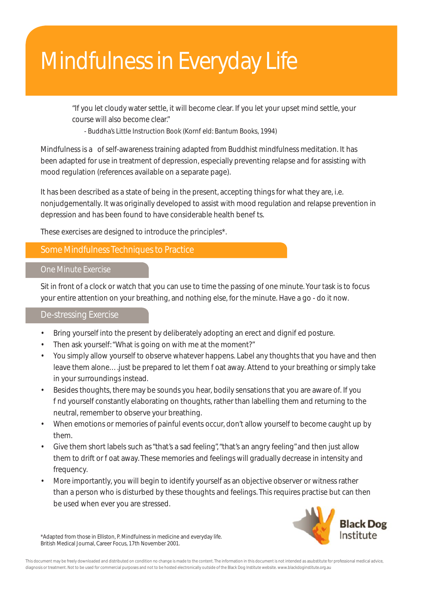# Mindfulness in Everyday Life

"If you let cloudy water settle, it will become clear. If you let your upset mind settle, your course will also become clear."

- Buddha's Little Instruction Book (Korn eld: Bantum Books, 1994)

Mindfulness is a of self-awareness training adapted from Buddhist mindfulness meditation. It has been adapted for use in treatment of depression, especially preventing relapse and for assisting with mood regulation (references available on a separate page).

It has been described as a state of being in the present, accepting things for what they are, i.e. nonjudgementally. It was originally developed to assist with mood regulation and relapse prevention in depression and has been found to have considerable health bene ts.

These exercises are designed to introduce the principles\*.

## Some Mindfulness Techniques to Practice

### One Minute Exercise

Sit in front of a clock or watch that you can use to time the passing of one minute. Your task is to focus your entire attention on your breathing, and nothing else, for the minute. Have a go - do it now.

### De-stressing Exercise

- Bring yourself into the present by deliberately adopting an erect and digniged posture.
- Then ask yourself: "What is going on with me at the moment?"
- You simply allow yourself to observe whatever happens. Label any thoughts that you have and then leave them alone.... just be prepared to let them oat away. Attend to your breathing or simply take in your surroundings instead.
- Besides thoughts, there may be sounds you hear, bodily sensations that you are aware of. If you find yourself constantly elaborating on thoughts, rather than labelling them and returning to the neutral, remember to observe your breathing.
- When emotions or memories of painful events occur, don't allow yourself to become caught up by them.
- Give them short labels such as "that's a sad feeling", "that's an angry feeling" and then just allow them to drift or oat away. These memories and feelings will gradually decrease in intensity and frequency.
- More importantly, you will begin to identify yourself as an objective observer or witness rather than a person who is disturbed by these thoughts and feelings. This requires practise but can then be used when ever you are stressed.



\*Adapted from those in Elliston, P. Mindfulness in medicine and everyday life. British Medical Journal, Career Focus, 17th November 2001.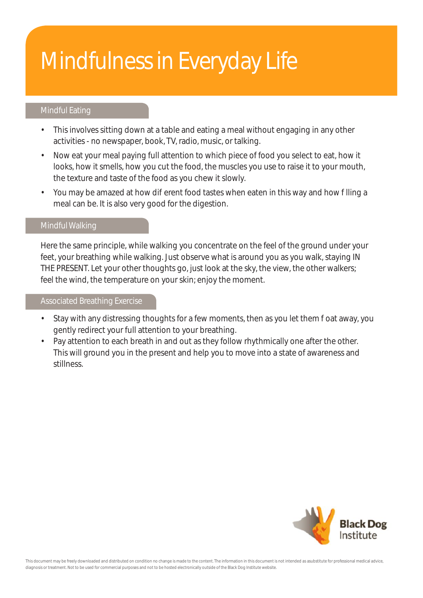# Mindfulness in Everyday Life

## Mindful Eating

- This involves sitting down at a table and eating a meal without engaging in any other activities - no newspaper, book, TV, radio, music, or talking.
- Now eat your meal paying full attention to which piece of food you select to eat, how it looks, how it smells, how you cut the food, the muscles you use to raise it to your mouth, the texture and taste of the food as you chew it slowly.
- You may be amazed at how dierent food tastes when eaten in this way and how Illing a meal can be. It is also very good for the digestion.

#### Mindful Walking

Here the same principle, while walking you concentrate on the feel of the ground under your feet, your breathing while walking. Just observe what is around you as you walk, staying IN THE PRESENT. Let your other thoughts go, just look at the sky, the view, the other walkers; feel the wind, the temperature on your skin; enjoy the moment.

### Associated Breathing Exercise

- Stay with any distressing thoughts for a few moments, then as you let them oat away, you gently redirect your full attention to your breathing.
- Pay attention to each breath in and out as they follow rhythmically one after the other. This will ground you in the present and help you to move into a state of awareness and stillness.